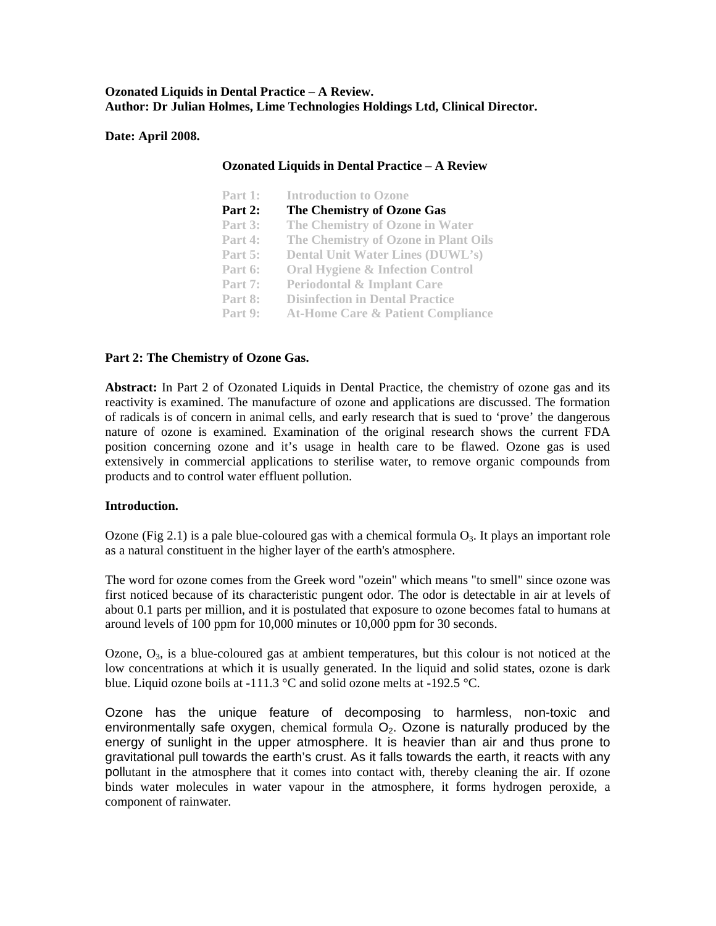**Ozonated Liquids in Dental Practice – A Review. Author: Dr Julian Holmes, Lime Technologies Holdings Ltd, Clinical Director.**

**Date: April 2008.** 

| <b>Ozonated Liquids in Dental Practice - A Review</b> |                                              |  |  |
|-------------------------------------------------------|----------------------------------------------|--|--|
| Part 1:                                               | <b>Introduction to Ozone</b>                 |  |  |
| Part 2:                                               | The Chemistry of Ozone Gas                   |  |  |
| Part 3:                                               | The Chemistry of Ozone in Water              |  |  |
| Part 4:                                               | The Chemistry of Ozone in Plant Oils         |  |  |
| Part $5:$                                             | <b>Dental Unit Water Lines (DUWL's)</b>      |  |  |
| Part 6:                                               | <b>Oral Hygiene &amp; Infection Control</b>  |  |  |
| Part 7:                                               | <b>Periodontal &amp; Implant Care</b>        |  |  |
| Part 8:                                               | <b>Disinfection in Dental Practice</b>       |  |  |
| Part 9:                                               | <b>At-Home Care &amp; Patient Compliance</b> |  |  |

# **Part 2: The Chemistry of Ozone Gas.**

**Abstract:** In Part 2 of Ozonated Liquids in Dental Practice, the chemistry of ozone gas and its reactivity is examined. The manufacture of ozone and applications are discussed. The formation of radicals is of concern in animal cells, and early research that is sued to 'prove' the dangerous nature of ozone is examined. Examination of the original research shows the current FDA position concerning ozone and it's usage in health care to be flawed. Ozone gas is used extensively in commercial applications to sterilise water, to remove organic compounds from products and to control water effluent pollution.

## **Introduction.**

Ozone (Fig 2.1) is a pale blue-coloured gas with a chemical formula  $O_3$ . It plays an important role as a natural constituent in the higher layer of the earth's atmosphere.

The word for ozone comes from the Greek word "ozein" which means "to smell" since ozone was first noticed because of its characteristic pungent odor. The odor is detectable in air at levels of about 0.1 parts per million, and it is postulated that exposure to ozone becomes fatal to humans at around levels of 100 ppm for 10,000 minutes or 10,000 ppm for 30 seconds.

Ozone,  $O_3$ , is a blue-coloured gas at ambient temperatures, but this colour is not noticed at the low concentrations at which it is usually generated. In the liquid and solid states, ozone is dark blue. Liquid ozone boils at -111.3  $\degree$ C and solid ozone melts at -192.5  $\degree$ C.

Ozone has the unique feature of decomposing to harmless, non-toxic and environmentally safe oxygen, chemical formula  $O<sub>2</sub>$ . Ozone is naturally produced by the energy of sunlight in the upper atmosphere. It is heavier than air and thus prone to gravitational pull towards the earth's crust. As it falls towards the earth, it reacts with any poll utant in the atmosphere that it comes into contact with, thereby cleaning the air. If ozone binds water molecules in water vapour in the atmosphere, it forms hydrogen peroxide, a component of rainwater.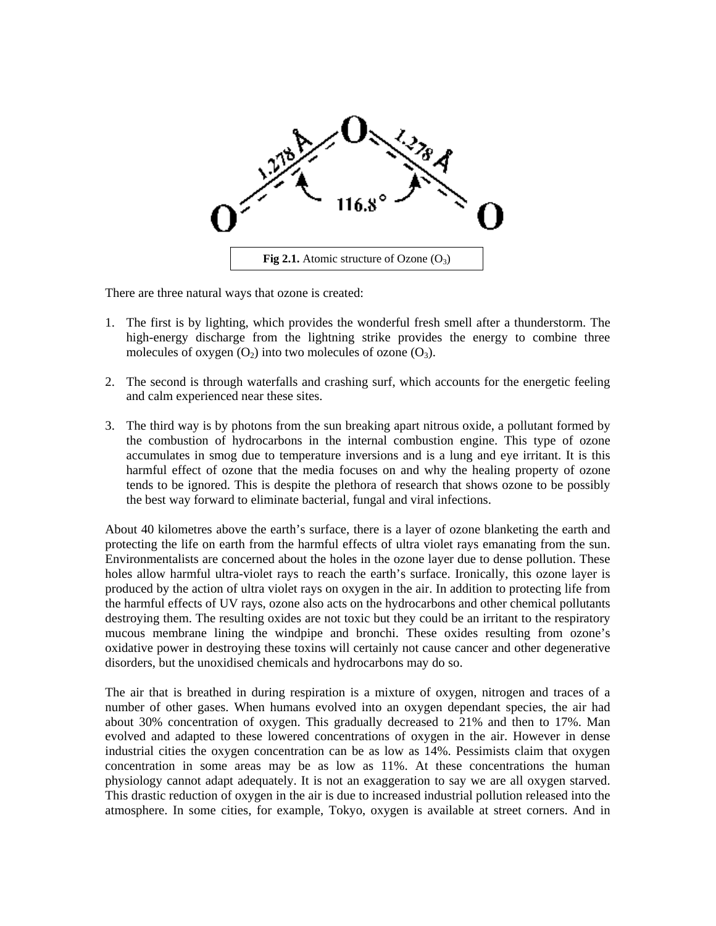

There are three natural ways that ozone is created:

- 1. The first is by lighting, which provides the wonderful fresh smell after a thunderstorm. The high-energy discharge from the lightning strike provides the energy to combine three molecules of oxygen  $(O_2)$  into two molecules of ozone  $(O_3)$ .
- 2. The second is through waterfalls and crashing surf, which accounts for the energetic feeling and calm experienced near these sites.
- 3. The third way is by photons from the sun breaking apart nitrous oxide, a pollutant formed by the combustion of hydrocarbons in the internal combustion engine. This type of ozone accumulates in smog due to temperature inversions and is a lung and eye irritant. It is this harmful effect of ozone that the media focuses on and why the healing property of ozone tends to be ignored. This is despite the plethora of research that shows ozone to be possibly the best way forward to eliminate bacterial, fungal and viral infections.

About 40 kilometres above the earth's surface, there is a layer of ozone blanketing the earth and protecting the life on earth from the harmful effects of ultra violet rays emanating from the sun. Environmentalists are concerned about the holes in the ozone layer due to dense pollution. These holes allow harmful ultra-violet rays to reach the earth's surface. Ironically, this ozone layer is produced by the action of ultra violet rays on oxygen in the air. In addition to protecting life from the harmful effects of UV rays, ozone also acts on the hydrocarbons and other chemical pollutants destroying them. The resulting oxides are not toxic but they could be an irritant to the respiratory mucous membrane lining the windpipe and bronchi. These oxides resulting from ozone's oxidative power in destroying these toxins will certainly not cause cancer and other degenerative disorders, but the unoxidised chemicals and hydrocarbons may do so.

The air that is breathed in during respiration is a mixture of oxygen, nitrogen and traces of a number of other gases. When humans evolved into an oxygen dependant species, the air had about 30% concentration of oxygen. This gradually decreased to 21% and then to 17%. Man evolved and adapted to these lowered concentrations of oxygen in the air. However in dense industrial cities the oxygen concentration can be as low as 14%. Pessimists claim that oxygen concentration in some areas may be as low as 11%. At these concentrations the human physiology cannot adapt adequately. It is not an exaggeration to say we are all oxygen starved. This drastic reduction of oxygen in the air is due to increased industrial pollution released into the atmosphere. In some cities, for example, Tokyo, oxygen is available at street corners. And in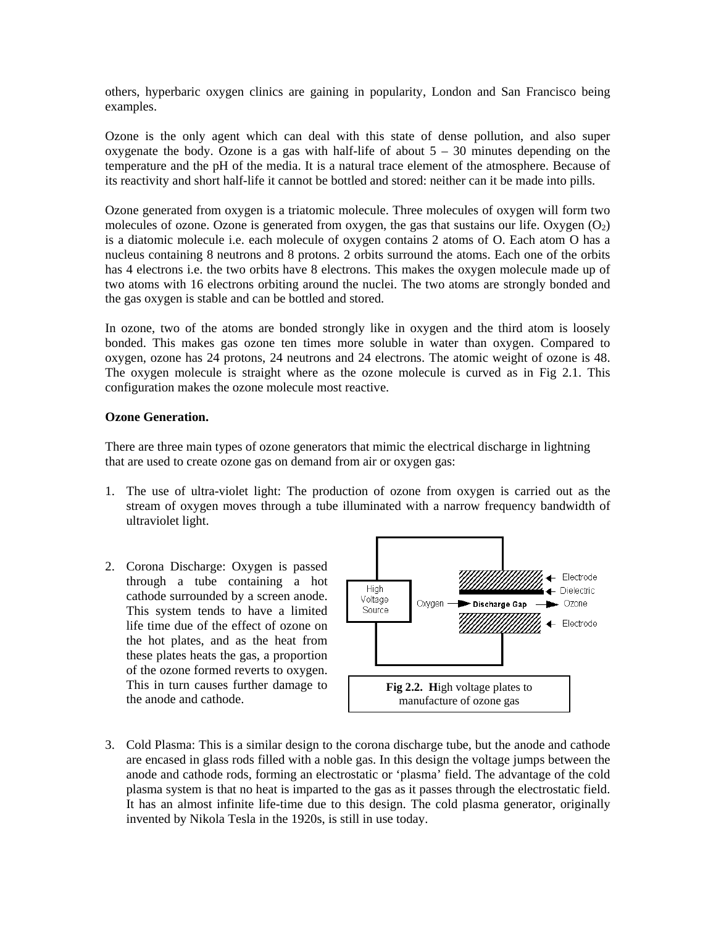others, hyperbaric oxygen clinics are gaining in popularity, London and San Francisco being examples.

Ozone is the only agent which can deal with this state of dense pollution, and also super oxygenate the body. Ozone is a gas with half-life of about  $5 - 30$  minutes depending on the temperature and the pH of the media. It is a natural trace element of the atmosphere. Because of its reactivity and short half-life it cannot be bottled and stored: neither can it be made into pills.

Ozone generated from oxygen is a triatomic molecule. Three molecules of oxygen will form two molecules of ozone. Ozone is generated from oxygen, the gas that sustains our life. Oxygen  $(O_2)$ is a diatomic molecule i.e. each molecule of oxygen contains 2 atoms of O. Each atom O has a nucleus containing 8 neutrons and 8 protons. 2 orbits surround the atoms. Each one of the orbits has 4 electrons i.e. the two orbits have 8 electrons. This makes the oxygen molecule made up of two atoms with 16 electrons orbiting around the nuclei. The two atoms are strongly bonded and the gas oxygen is stable and can be bottled and stored.

In ozone, two of the atoms are bonded strongly like in oxygen and the third atom is loosely bonded. This makes gas ozone ten times more soluble in water than oxygen. Compared to oxygen, ozone has 24 protons, 24 neutrons and 24 electrons. The atomic weight of ozone is 48. The oxygen molecule is straight where as the ozone molecule is curved as in Fig 2.1. This configuration makes the ozone molecule most reactive.

# **Ozone Generation.**

There are three main types of ozone generators that mimic the electrical discharge in lightning that are used to create ozone gas on demand from air or oxygen gas:

- 1. The use of ultra-violet light: The production of ozone from oxygen is carried out as the stream of oxygen moves through a tube illuminated with a narrow frequency bandwidth of ultraviolet light.
- 2. Corona Discharge: Oxygen is passed through a tube containing a hot cathode surrounded by a screen anode. This system tends to have a limited life time due of the effect of ozone on the hot plates, and as the heat from these plates heats the gas, a proportion of the ozone formed reverts to oxygen. This in turn causes further damage to the anode and cathode.



3. Cold Plasma: This is a similar design to the corona discharge tube, but the anode and cathode are encased in glass rods filled with a noble gas. In this design the voltage jumps between the anode and cathode rods, forming an electrostatic or 'plasma' field. The advantage of the cold plasma system is that no heat is imparted to the gas as it passes through the electrostatic field. It has an almost infinite life-time due to this design. The cold plasma generator, originally invented by Nikola Tesla in the 1920s, is still in use today.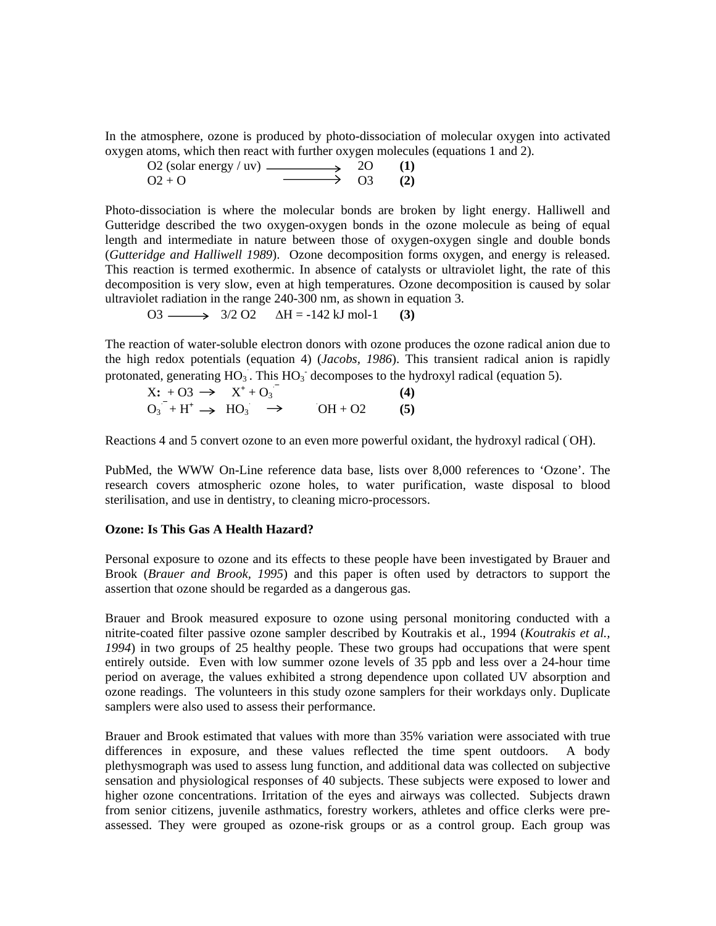In the atmosphere, ozone is produced by photo-dissociation of molecular oxygen into activated oxygen atoms, which then react with further oxygen molecules (equations 1 and 2).

| O2 (solar energy $/$ uv) — |                      | 2O | (1) |
|----------------------------|----------------------|----|-----|
| $Q_2 + Q_2$                | $\longrightarrow$ 03 |    | (2) |

Photo-dissociation is where the molecular bonds are broken by light energy. Halliwell and Gutteridge described the two oxygen-oxygen bonds in the ozone molecule as being of equal length and intermediate in nature between those of oxygen-oxygen single and double bonds (*Gutteridge and Halliwell 1989*). Ozone decomposition forms oxygen, and energy is released. This reaction is termed exothermic. In absence of catalysts or ultraviolet light, the rate of this decomposition is very slow, even at high temperatures. Ozone decomposition is caused by solar ultraviolet radiation in the range 240-300 nm, as shown in equation 3.

O3  $\longrightarrow$  3/2 O2  $\Delta H = -142 \text{ kJ} \text{ mol} -1$  (3)

The reaction of water-soluble electron donors with ozone produces the ozone radical anion due to the high redox potentials (equation 4) (*Jacobs, 1986*). This transient radical anion is rapidly protonated, generating  $HO_3$ . This  $HO_3$ <sup>-</sup> decomposes to the hydroxyl radical (equation 5).

$$
X: +03 \rightarrow X^+ + 0_3
$$
  
\n
$$
O_3 + H^+ \rightarrow HO_3 \rightarrow OH + O2
$$
 (4)

Reactions 4 and 5 convert ozone to an even more powerful oxidant, the hydroxyl radical (OH).

PubMed, the WWW On-Line reference data base, lists over 8,000 references to 'Ozone'. The research covers atmospheric ozone holes, to water purification, waste disposal to blood sterilisation, and use in dentistry, to cleaning micro-processors.

## **Ozone: Is This Gas A Health Hazard?**

Personal exposure to ozone and its effects to these people have been investigated by Brauer and Brook (*Brauer and Brook, 1995*) and this paper is often used by detractors to support the assertion that ozone should be regarded as a dangerous gas.

Brauer and Brook measured exposure to ozone using personal monitoring conducted with a nitrite-coated filter passive ozone sampler described by Koutrakis et al., 1994 (*Koutrakis et al., 1994*) in two groups of 25 healthy people. These two groups had occupations that were spent entirely outside. Even with low summer ozone levels of 35 ppb and less over a 24-hour time period on average, the values exhibited a strong dependence upon collated UV absorption and ozone readings. The volunteers in this study ozone samplers for their workdays only. Duplicate samplers were also used to assess their performance.

Brauer and Brook estimated that values with more than 35% variation were associated with true differences in exposure, and these values reflected the time spent outdoors. A body plethysmograph was used to assess lung function, and additional data was collected on subjective sensation and physiological responses of 40 subjects. These subjects were exposed to lower and higher ozone concentrations. Irritation of the eyes and airways was collected. Subjects drawn from senior citizens, juvenile asthmatics, forestry workers, athletes and office clerks were preassessed. They were grouped as ozone-risk groups or as a control group. Each group was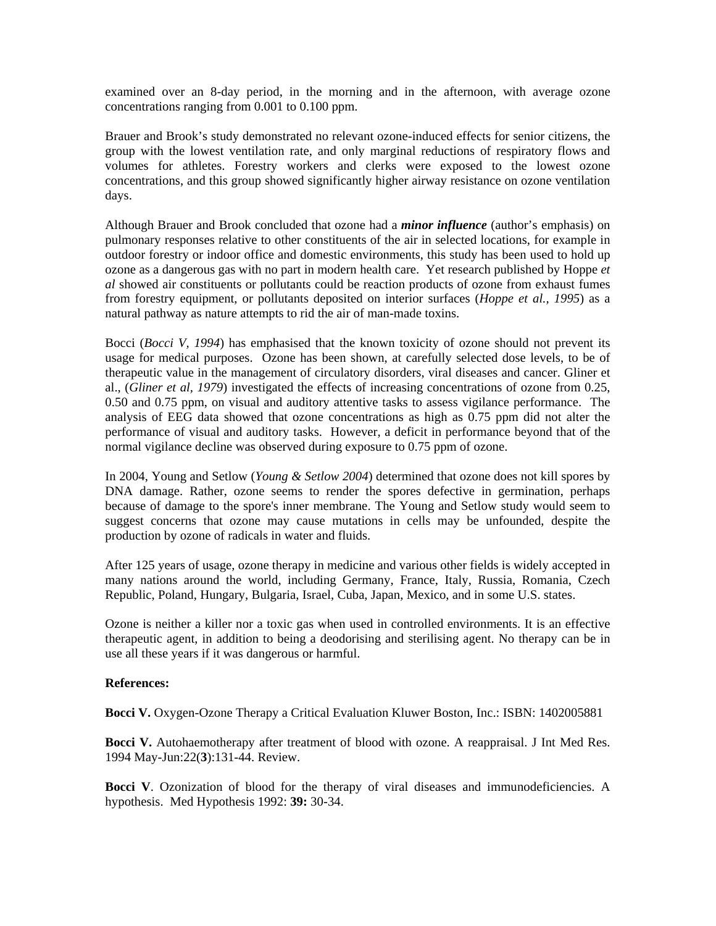examined over an 8-day period, in the morning and in the afternoon, with average ozone concentrations ranging from 0.001 to 0.100 ppm.

Brauer and Brook's study demonstrated no relevant ozone-induced effects for senior citizens, the group with the lowest ventilation rate, and only marginal reductions of respiratory flows and volumes for athletes. Forestry workers and clerks were exposed to the lowest ozone concentrations, and this group showed significantly higher airway resistance on ozone ventilation days.

Although Brauer and Brook concluded that ozone had a *minor influence* (author's emphasis) on pulmonary responses relative to other constituents of the air in selected locations, for example in outdoor forestry or indoor office and domestic environments, this study has been used to hold up ozone as a dangerous gas with no part in modern health care. Yet research published by Hoppe *et al* showed air constituents or pollutants could be reaction products of ozone from exhaust fumes from forestry equipment, or pollutants deposited on interior surfaces (*Hoppe et al., 1995*) as a natural pathway as nature attempts to rid the air of man-made toxins.

Bocci (*Bocci V, 1994*) has emphasised that the known toxicity of ozone should not prevent its usage for medical purposes. Ozone has been shown, at carefully selected dose levels, to be of therapeutic value in the management of circulatory disorders, viral diseases and cancer. Gliner et al., (*Gliner et al, 1979*) investigated the effects of increasing concentrations of ozone from 0.25, 0.50 and 0.75 ppm, on visual and auditory attentive tasks to assess vigilance performance. The analysis of EEG data showed that ozone concentrations as high as 0.75 ppm did not alter the performance of visual and auditory tasks. However, a deficit in performance beyond that of the normal vigilance decline was observed during exposure to 0.75 ppm of ozone.

In 2004, Young and Setlow (*Young & Setlow 2004*) determined that ozone does not kill spores by DNA damage. Rather, ozone seems to render the spores defective in germination, perhaps because of damage to the spore's inner membrane. The Young and Setlow study would seem to suggest concerns that ozone may cause mutations in cells may be unfounded, despite the production by ozone of radicals in water and fluids.

After 125 years of usage, ozone therapy in medicine and various other fields is widely accepted in many nations around the world, including Germany, France, Italy, Russia, Romania, Czech Republic, Poland, Hungary, Bulgaria, Israel, Cuba, Japan, Mexico, and in some U.S. states.

Ozone is neither a killer nor a toxic gas when used in controlled environments. It is an effective therapeutic agent, in addition to being a deodorising and sterilising agent. No therapy can be in use all these years if it was dangerous or harmful.

## **References:**

**Bocci V.** Oxygen-Ozone Therapy a Critical Evaluation Kluwer Boston, Inc.: ISBN: 1402005881

**Bocci V.** Autohaemotherapy after treatment of blood with ozone. A reappraisal. J Int Med Res. 1994 May-Jun:22(**3**):131-44. Review.

**Bocci V**. Ozonization of blood for the therapy of viral diseases and immunodeficiencies. A hypothesis. Med Hypothesis 1992: **39:** 30-34.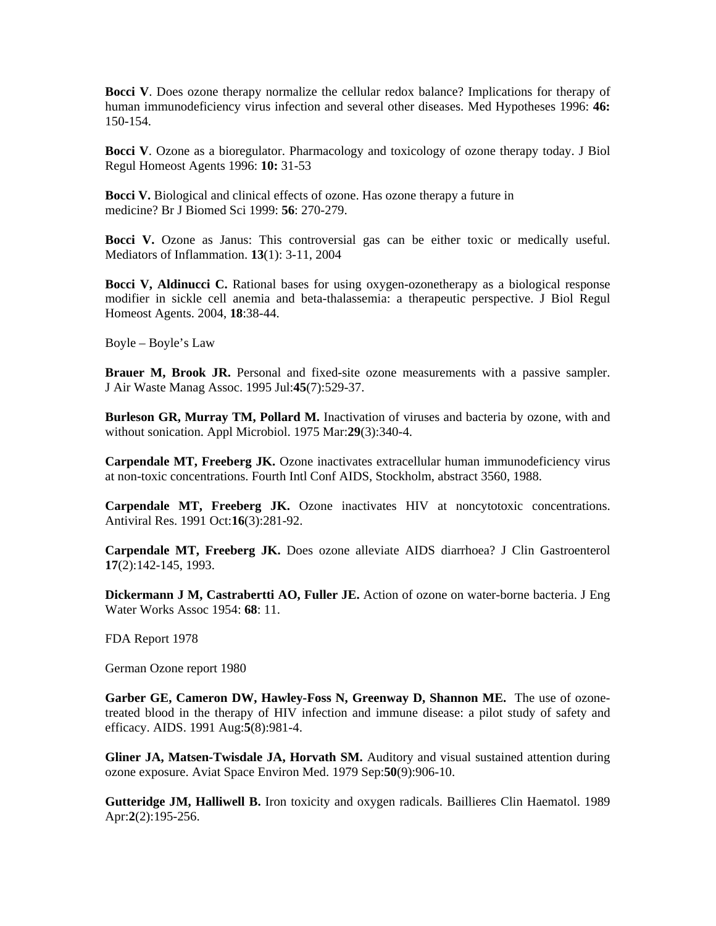**Bocci V**. Does ozone therapy normalize the cellular redox balance? Implications for therapy of human immunodeficiency virus infection and several other diseases. Med Hypotheses 1996: **46:** 150-154.

**Bocci V**. Ozone as a bioregulator. Pharmacology and toxicology of ozone therapy today. J Biol Regul Homeost Agents 1996: **10:** 31-53

**Bocci V.** Biological and clinical effects of ozone. Has ozone therapy a future in medicine? Br J Biomed Sci 1999: **56**: 270-279.

**Bocci V.** Ozone as Janus: This controversial gas can be either toxic or medically useful. Mediators of Inflammation. **13**(1): 3-11, 2004

**Bocci V, Aldinucci C.** Rational bases for using oxygen-ozonetherapy as a biological response modifier in sickle cell anemia and beta-thalassemia: a therapeutic perspective. J Biol Regul Homeost Agents. 2004, **18**:38-44.

Boyle – Boyle's Law

**Brauer M, Brook JR.** Personal and fixed-site ozone measurements with a passive sampler. J Air Waste Manag Assoc. 1995 Jul:**45**(7):529-37.

**Burleson GR, Murray TM, Pollard M.** Inactivation of viruses and bacteria by ozone, with and without sonication. Appl Microbiol. 1975 Mar:**29**(3):340-4.

**Carpendale MT, Freeberg JK.** Ozone inactivates extracellular human immunodeficiency virus at non-toxic concentrations. Fourth Intl Conf AIDS, Stockholm, abstract 3560, 1988.

**Carpendale MT, Freeberg JK.** Ozone inactivates HIV at noncytotoxic concentrations. Antiviral Res. 1991 Oct:**16**(3):281-92.

**Carpendale MT, Freeberg JK.** Does ozone alleviate AIDS diarrhoea? J Clin Gastroenterol **17**(2):142-145, 1993.

**Dickermann J M, Castrabertti AO, Fuller JE.** Action of ozone on water-borne bacteria. J Eng Water Works Assoc 1954: **68**: 11.

FDA Report 1978

German Ozone report 1980

**Garber GE, Cameron DW, Hawley-Foss N, Greenway D, Shannon ME.** The use of ozonetreated blood in the therapy of HIV infection and immune disease: a pilot study of safety and efficacy. AIDS. 1991 Aug:**5**(8):981-4.

**Gliner JA, Matsen-Twisdale JA, Horvath SM.** Auditory and visual sustained attention during ozone exposure. Aviat Space Environ Med. 1979 Sep:**50**(9):906-10.

**Gutteridge JM, Halliwell B.** Iron toxicity and oxygen radicals. Baillieres Clin Haematol. 1989 Apr:**2**(2):195-256.